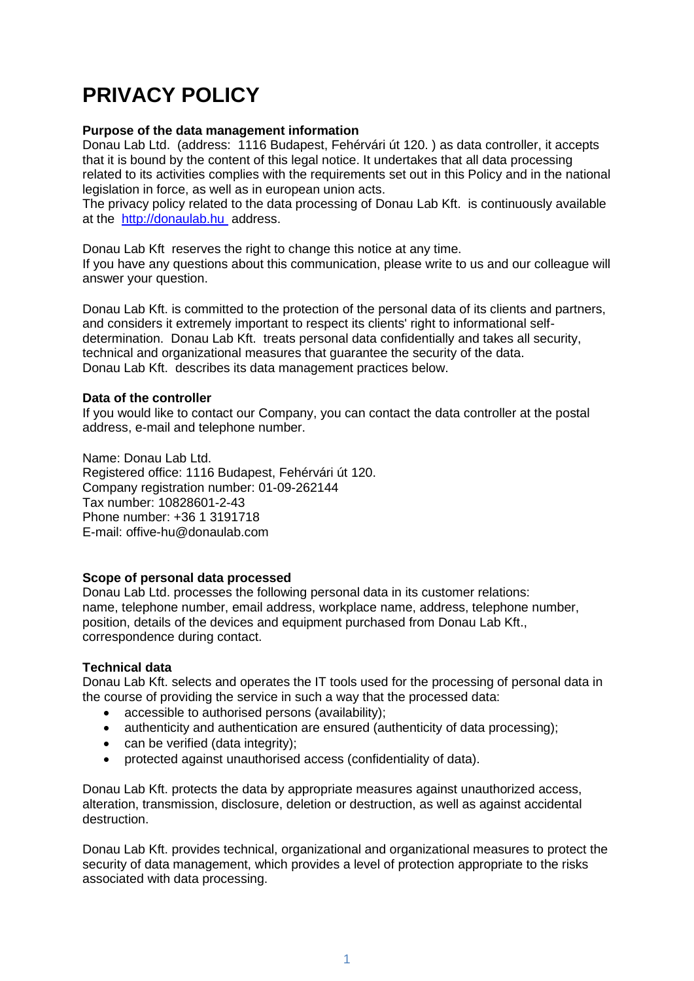# **PRIVACY POLICY**

## **Purpose of the data management information**

Donau Lab Ltd. (address: 1116 Budapest, Fehérvári út 120. ) as data controller, it accepts that it is bound by the content of this legal notice. It undertakes that all data processing related to its activities complies with the requirements set out in this Policy and in the national legislation in force, as well as in european union acts.

The privacy policy related to the data processing of Donau Lab Kft. is continuously available at the http://donaulab.hu address.

Donau Lab Kft reserves the right to change this notice at any time. If you have any questions about this communication, please write to us and our colleague will answer your question.

Donau Lab Kft. is committed to the protection of the personal data of its clients and partners, and considers it extremely important to respect its clients' right to informational selfdetermination. Donau Lab Kft. treats personal data confidentially and takes all security, technical and organizational measures that guarantee the security of the data. Donau Lab Kft. describes its data management practices below.

## **Data of the controller**

If you would like to contact our Company, you can contact the data controller at the postal address, e-mail and telephone number.

Name: Donau Lab Ltd. Registered office: 1116 Budapest, Fehérvári út 120. Company registration number: 01-09-262144 Tax number: 10828601-2-43 Phone number: +36 1 3191718 E-mail: offive-hu@donaulab.com

#### **Scope of personal data processed**

Donau Lab Ltd. processes the following personal data in its customer relations: name, telephone number, email address, workplace name, address, telephone number, position, details of the devices and equipment purchased from Donau Lab Kft., correspondence during contact.

# **Technical data**

Donau Lab Kft. selects and operates the IT tools used for the processing of personal data in the course of providing the service in such a way that the processed data:

- accessible to authorised persons (availability);
- authenticity and authentication are ensured (authenticity of data processing);
- can be verified (data integrity);
- protected against unauthorised access (confidentiality of data).

Donau Lab Kft. protects the data by appropriate measures against unauthorized access, alteration, transmission, disclosure, deletion or destruction, as well as against accidental destruction.

Donau Lab Kft. provides technical, organizational and organizational measures to protect the security of data management, which provides a level of protection appropriate to the risks associated with data processing.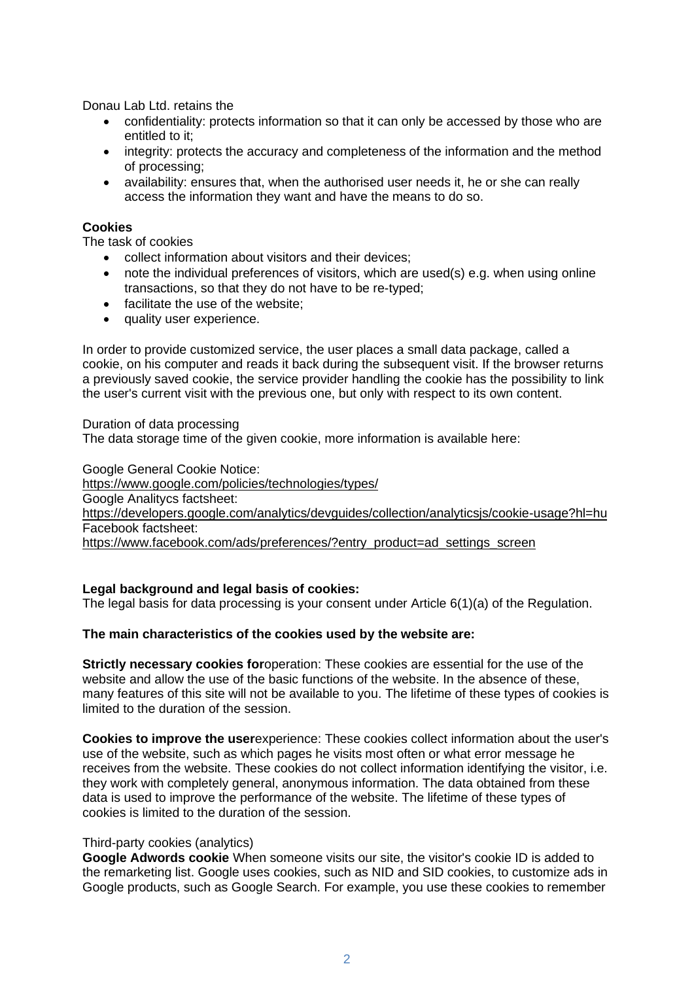Donau Lab Ltd. retains the

- confidentiality: protects information so that it can only be accessed by those who are entitled to it;
- integrity: protects the accuracy and completeness of the information and the method of processing;
- availability: ensures that, when the authorised user needs it, he or she can really access the information they want and have the means to do so.

# **Cookies**

The task of cookies

- collect information about visitors and their devices;
- note the individual preferences of visitors, which are used(s) e.g. when using online transactions, so that they do not have to be re-typed;
- facilitate the use of the website;
- quality user experience.

In order to provide customized service, the user places a small data package, called a cookie, on his computer and reads it back during the subsequent visit. If the browser returns a previously saved cookie, the service provider handling the cookie has the possibility to link the user's current visit with the previous one, but only with respect to its own content.

#### Duration of data processing

The data storage time of the given cookie, more information is available here:

Google General Cookie Notice:

<https://www.google.com/policies/technologies/types/> Google Analitycs factsheet: <https://developers.google.com/analytics/devguides/collection/analyticsjs/cookie-usage?hl=hu> Facebook factsheet: [https://www.facebook.com/ads/preferences/?entry\\_product=ad\\_settings\\_screen](https://www.facebook.com/ads/preferences/?entry_product=ad_settings_screen)

#### **Legal background and legal basis of cookies:**

The legal basis for data processing is your consent under Article 6(1)(a) of the Regulation.

#### **The main characteristics of the cookies used by the website are:**

**Strictly necessary cookies for**operation: These cookies are essential for the use of the website and allow the use of the basic functions of the website. In the absence of these, many features of this site will not be available to you. The lifetime of these types of cookies is limited to the duration of the session.

**Cookies to improve the user**experience: These cookies collect information about the user's use of the website, such as which pages he visits most often or what error message he receives from the website. These cookies do not collect information identifying the visitor, i.e. they work with completely general, anonymous information. The data obtained from these data is used to improve the performance of the website. The lifetime of these types of cookies is limited to the duration of the session.

#### Third-party cookies (analytics)

**Google Adwords cookie** When someone visits our site, the visitor's cookie ID is added to the remarketing list. Google uses cookies, such as NID and SID cookies, to customize ads in Google products, such as Google Search. For example, you use these cookies to remember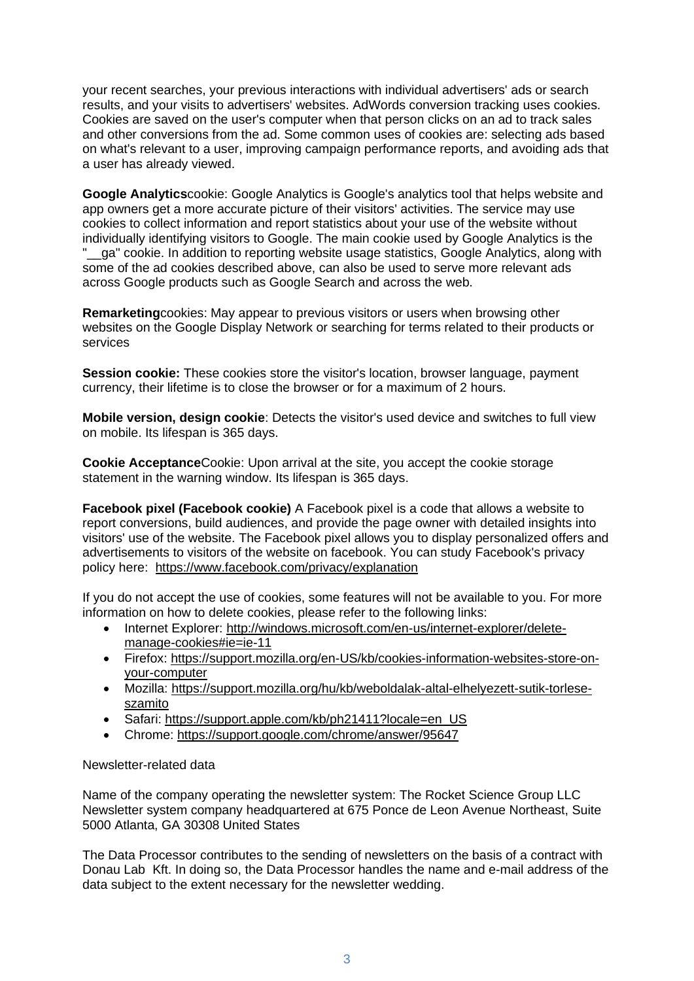your recent searches, your previous interactions with individual advertisers' ads or search results, and your visits to advertisers' websites. AdWords conversion tracking uses cookies. Cookies are saved on the user's computer when that person clicks on an ad to track sales and other conversions from the ad. Some common uses of cookies are: selecting ads based on what's relevant to a user, improving campaign performance reports, and avoiding ads that a user has already viewed.

**Google Analytics**cookie: Google Analytics is Google's analytics tool that helps website and app owners get a more accurate picture of their visitors' activities. The service may use cookies to collect information and report statistics about your use of the website without individually identifying visitors to Google. The main cookie used by Google Analytics is the "\_\_ga" cookie. In addition to reporting website usage statistics, Google Analytics, along with some of the ad cookies described above, can also be used to serve more relevant ads across Google products such as Google Search and across the web.

**Remarketing**cookies: May appear to previous visitors or users when browsing other websites on the Google Display Network or searching for terms related to their products or services

**Session cookie:** These cookies store the visitor's location, browser language, payment currency, their lifetime is to close the browser or for a maximum of 2 hours.

**Mobile version, design cookie**: Detects the visitor's used device and switches to full view on mobile. Its lifespan is 365 days.

**Cookie Acceptance**Cookie: Upon arrival at the site, you accept the cookie storage statement in the warning window. Its lifespan is 365 days.

**Facebook pixel (Facebook cookie)** A Facebook pixel is a code that allows a website to report conversions, build audiences, and provide the page owner with detailed insights into visitors' use of the website. The Facebook pixel allows you to display personalized offers and advertisements to visitors of the website on facebook. You can study Facebook's privacy policy here: <https://www.facebook.com/privacy/explanation>

If you do not accept the use of cookies, some features will not be available to you. For more information on how to delete cookies, please refer to the following links:

- Internet Explorer: [http://windows.microsoft.com/en-us/internet-explorer/delete](http://windows.microsoft.com/en-us/internet-explorer/delete-manage-cookies#ie=ie-11)[manage-cookies#ie=ie-11](http://windows.microsoft.com/en-us/internet-explorer/delete-manage-cookies#ie=ie-11)
- Firefox: [https://support.mozilla.org/en-US/kb/cookies-information-websites-store-on](https://support.mozilla.org/en-US/kb/cookies-information-websites-store-on-your-computer)[your-computer](https://support.mozilla.org/en-US/kb/cookies-information-websites-store-on-your-computer)
- Mozilla: [https://support.mozilla.org/hu/kb/weboldalak-altal-elhelyezett-sutik-torlese](https://support.mozilla.org/hu/kb/weboldalak-altal-elhelyezett-sutik-torlese-szamito)[szamito](https://support.mozilla.org/hu/kb/weboldalak-altal-elhelyezett-sutik-torlese-szamito)
- Safari: [https://support.apple.com/kb/ph21411?locale=en\\_US](https://support.apple.com/kb/ph21411?locale=en_US)
- Chrome:<https://support.google.com/chrome/answer/95647>

# Newsletter-related data

Name of the company operating the newsletter system: The Rocket Science Group LLC Newsletter system company headquartered at 675 Ponce de Leon Avenue Northeast, Suite 5000 Atlanta, GA 30308 United States

The Data Processor contributes to the sending of newsletters on the basis of a contract with Donau Lab Kft. In doing so, the Data Processor handles the name and e-mail address of the data subject to the extent necessary for the newsletter wedding.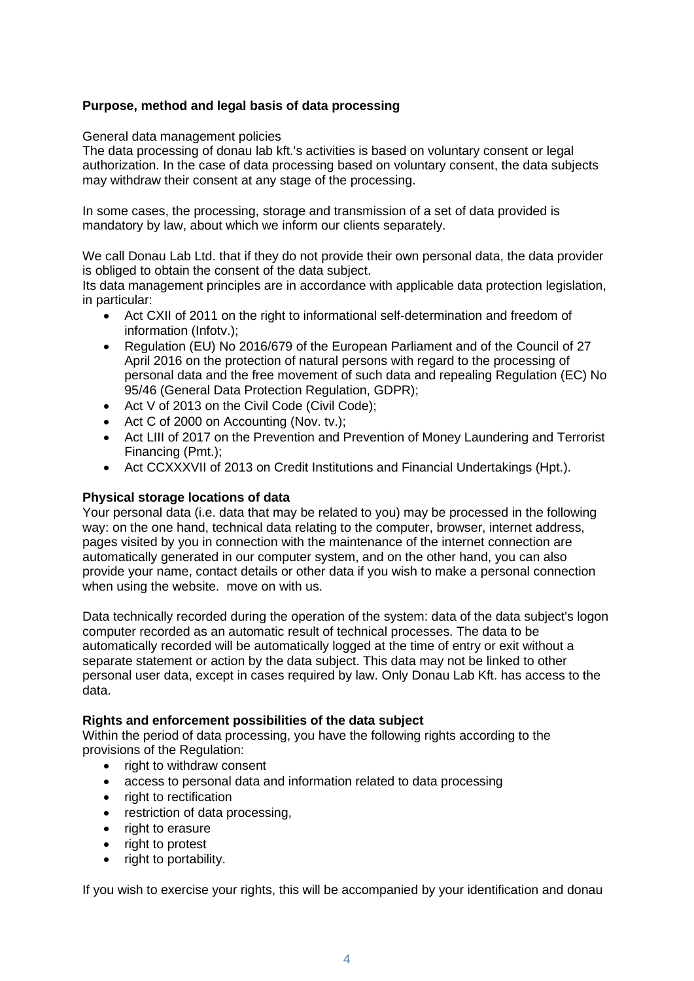# **Purpose, method and legal basis of data processing**

General data management policies

The data processing of donau lab kft.'s activities is based on voluntary consent or legal authorization. In the case of data processing based on voluntary consent, the data subjects may withdraw their consent at any stage of the processing.

In some cases, the processing, storage and transmission of a set of data provided is mandatory by law, about which we inform our clients separately.

We call Donau Lab Ltd. that if they do not provide their own personal data, the data provider is obliged to obtain the consent of the data subject.

Its data management principles are in accordance with applicable data protection legislation, in particular:

- Act CXII of 2011 on the right to informational self-determination and freedom of information (Infotv.);
- Regulation (EU) No 2016/679 of the European Parliament and of the Council of 27 April 2016 on the protection of natural persons with regard to the processing of personal data and the free movement of such data and repealing Regulation (EC) No 95/46 (General Data Protection Regulation, GDPR);
- Act V of 2013 on the Civil Code (Civil Code);
- Act C of 2000 on Accounting (Nov. tv.);
- Act LIII of 2017 on the Prevention and Prevention of Money Laundering and Terrorist Financing (Pmt.);
- Act CCXXXVII of 2013 on Credit Institutions and Financial Undertakings (Hpt.).

# **Physical storage locations of data**

Your personal data (i.e. data that may be related to you) may be processed in the following way: on the one hand, technical data relating to the computer, browser, internet address, pages visited by you in connection with the maintenance of the internet connection are automatically generated in our computer system, and on the other hand, you can also provide your name, contact details or other data if you wish to make a personal connection when using the website. move on with us.

Data technically recorded during the operation of the system: data of the data subject's logon computer recorded as an automatic result of technical processes. The data to be automatically recorded will be automatically logged at the time of entry or exit without a separate statement or action by the data subject. This data may not be linked to other personal user data, except in cases required by law. Only Donau Lab Kft. has access to the data.

#### **Rights and enforcement possibilities of the data subject**

Within the period of data processing, you have the following rights according to the provisions of the Regulation:

- right to withdraw consent
- access to personal data and information related to data processing
- right to rectification
- restriction of data processing,
- right to erasure
- right to protest
- right to portability.

If you wish to exercise your rights, this will be accompanied by your identification and donau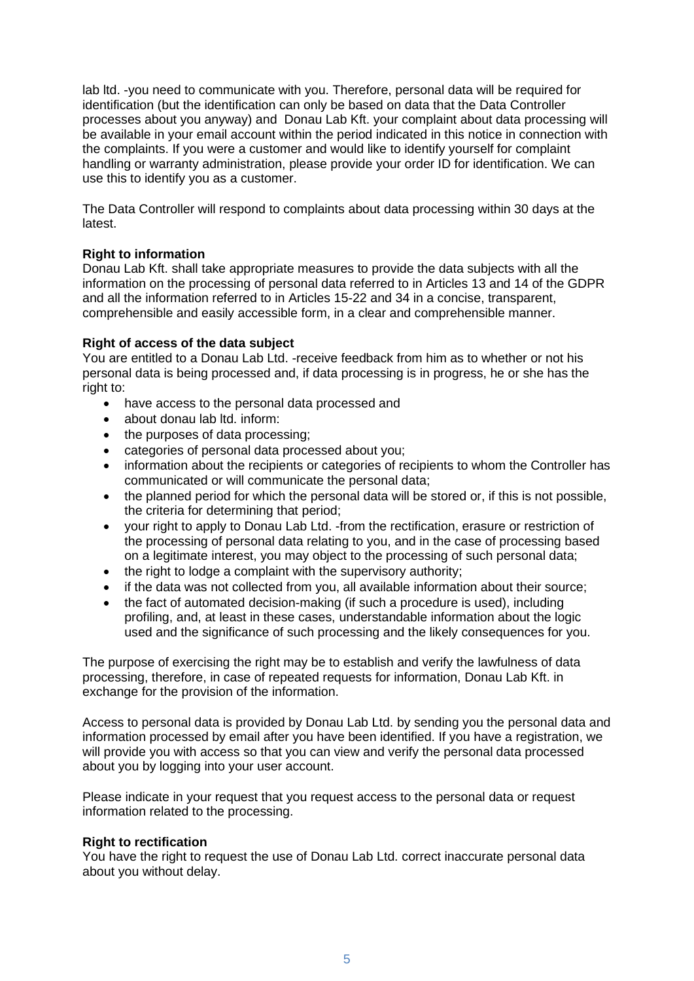lab ltd. -you need to communicate with you. Therefore, personal data will be required for identification (but the identification can only be based on data that the Data Controller processes about you anyway) and Donau Lab Kft. your complaint about data processing will be available in your email account within the period indicated in this notice in connection with the complaints. If you were a customer and would like to identify yourself for complaint handling or warranty administration, please provide your order ID for identification. We can use this to identify you as a customer.

The Data Controller will respond to complaints about data processing within 30 days at the latest.

# **Right to information**

Donau Lab Kft. shall take appropriate measures to provide the data subjects with all the information on the processing of personal data referred to in Articles 13 and 14 of the GDPR and all the information referred to in Articles 15-22 and 34 in a concise, transparent, comprehensible and easily accessible form, in a clear and comprehensible manner.

# **Right of access of the data subject**

You are entitled to a Donau Lab Ltd. -receive feedback from him as to whether or not his personal data is being processed and, if data processing is in progress, he or she has the right to:

- have access to the personal data processed and
- about donau lab ltd. inform:
- the purposes of data processing;
- categories of personal data processed about you;
- information about the recipients or categories of recipients to whom the Controller has communicated or will communicate the personal data;
- the planned period for which the personal data will be stored or, if this is not possible, the criteria for determining that period;
- your right to apply to Donau Lab Ltd. -from the rectification, erasure or restriction of the processing of personal data relating to you, and in the case of processing based on a legitimate interest, you may object to the processing of such personal data;
- the right to lodge a complaint with the supervisory authority;
- if the data was not collected from you, all available information about their source;
- the fact of automated decision-making (if such a procedure is used), including profiling, and, at least in these cases, understandable information about the logic used and the significance of such processing and the likely consequences for you.

The purpose of exercising the right may be to establish and verify the lawfulness of data processing, therefore, in case of repeated requests for information, Donau Lab Kft. in exchange for the provision of the information.

Access to personal data is provided by Donau Lab Ltd. by sending you the personal data and information processed by email after you have been identified. If you have a registration, we will provide you with access so that you can view and verify the personal data processed about you by logging into your user account.

Please indicate in your request that you request access to the personal data or request information related to the processing.

# **Right to rectification**

You have the right to request the use of Donau Lab Ltd. correct inaccurate personal data about you without delay.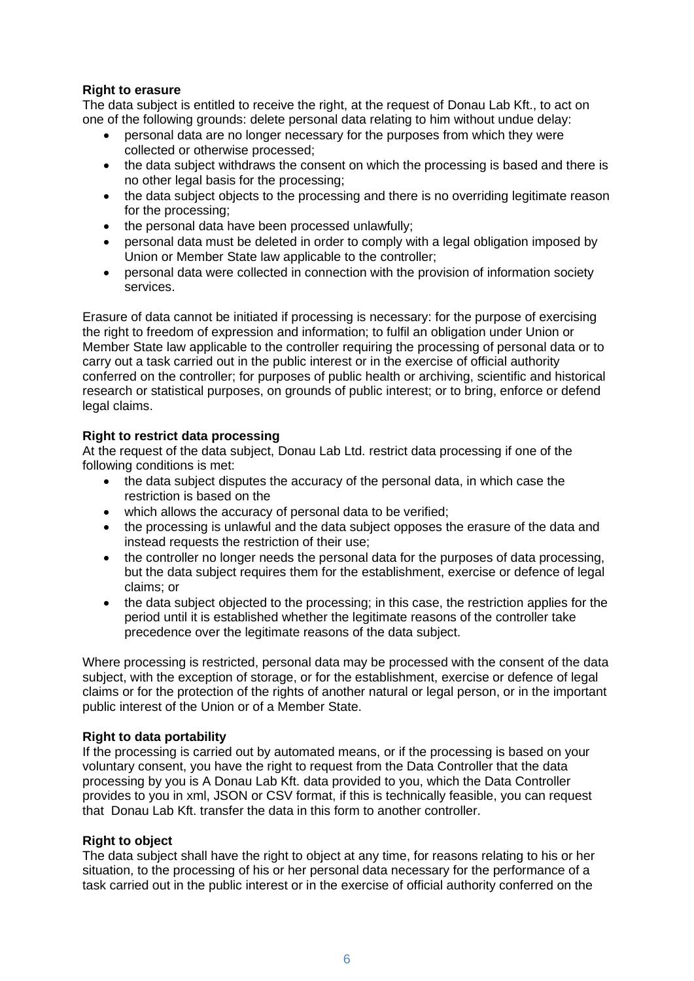# **Right to erasure**

The data subject is entitled to receive the right, at the request of Donau Lab Kft., to act on one of the following grounds: delete personal data relating to him without undue delay:

- personal data are no longer necessary for the purposes from which they were collected or otherwise processed;
- the data subject withdraws the consent on which the processing is based and there is no other legal basis for the processing;
- the data subject objects to the processing and there is no overriding legitimate reason for the processing;
- the personal data have been processed unlawfully;
- personal data must be deleted in order to comply with a legal obligation imposed by Union or Member State law applicable to the controller;
- personal data were collected in connection with the provision of information society services.

Erasure of data cannot be initiated if processing is necessary: for the purpose of exercising the right to freedom of expression and information; to fulfil an obligation under Union or Member State law applicable to the controller requiring the processing of personal data or to carry out a task carried out in the public interest or in the exercise of official authority conferred on the controller; for purposes of public health or archiving, scientific and historical research or statistical purposes, on grounds of public interest; or to bring, enforce or defend legal claims.

# **Right to restrict data processing**

At the request of the data subject, Donau Lab Ltd. restrict data processing if one of the following conditions is met:

- the data subject disputes the accuracy of the personal data, in which case the restriction is based on the
- which allows the accuracy of personal data to be verified;
- the processing is unlawful and the data subject opposes the erasure of the data and instead requests the restriction of their use;
- the controller no longer needs the personal data for the purposes of data processing, but the data subject requires them for the establishment, exercise or defence of legal claims; or
- the data subject objected to the processing; in this case, the restriction applies for the period until it is established whether the legitimate reasons of the controller take precedence over the legitimate reasons of the data subject.

Where processing is restricted, personal data may be processed with the consent of the data subject, with the exception of storage, or for the establishment, exercise or defence of legal claims or for the protection of the rights of another natural or legal person, or in the important public interest of the Union or of a Member State.

#### **Right to data portability**

If the processing is carried out by automated means, or if the processing is based on your voluntary consent, you have the right to request from the Data Controller that the data processing by you is A Donau Lab Kft. data provided to you, which the Data Controller provides to you in xml, JSON or CSV format, if this is technically feasible, you can request that Donau Lab Kft. transfer the data in this form to another controller.

#### **Right to object**

The data subject shall have the right to object at any time, for reasons relating to his or her situation, to the processing of his or her personal data necessary for the performance of a task carried out in the public interest or in the exercise of official authority conferred on the